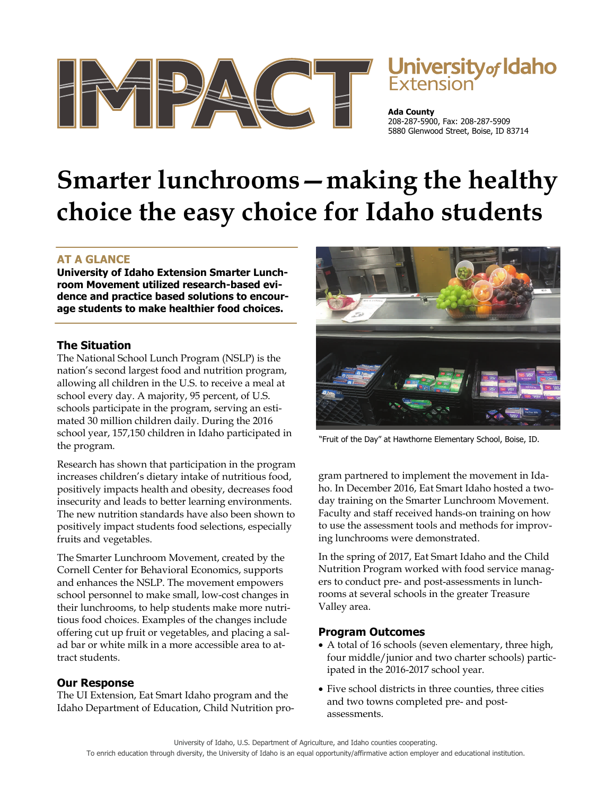

# University<sub>of</sub> Idaho Extension

**Ada County** 208-287-5900, Fax: 208-287-5909 5880 Glenwood Street, Boise, ID 83714

# **Smarter lunchrooms—making the healthy choice the easy choice for Idaho students**

## **AT A GLANCE**

**University of Idaho Extension Smarter Lunchroom Movement utilized research-based evidence and practice based solutions to encourage students to make healthier food choices.** 

### **The Situation**

The National School Lunch Program (NSLP) is the nation's second largest food and nutrition program, allowing all children in the U.S. to receive a meal at school every day. A majority, 95 percent, of U.S. schools participate in the program, serving an estimated 30 million children daily. During the 2016 school year, 157,150 children in Idaho participated in the program.

Research has shown that participation in the program increases children's dietary intake of nutritious food, positively impacts health and obesity, decreases food insecurity and leads to better learning environments. The new nutrition standards have also been shown to positively impact students food selections, especially fruits and vegetables.

The Smarter Lunchroom Movement, created by the Cornell Center for Behavioral Economics, supports and enhances the NSLP. The movement empowers school personnel to make small, low-cost changes in their lunchrooms, to help students make more nutritious food choices. Examples of the changes include offering cut up fruit or vegetables, and placing a salad bar or white milk in a more accessible area to attract students.

#### **Our Response**

The UI Extension, Eat Smart Idaho program and the Idaho Department of Education, Child Nutrition pro-



"Fruit of the Day" at Hawthorne Elementary School, Boise, ID.

gram partnered to implement the movement in Idaho. In December 2016, Eat Smart Idaho hosted a twoday training on the Smarter Lunchroom Movement. Faculty and staff received hands-on training on how to use the assessment tools and methods for improving lunchrooms were demonstrated.

In the spring of 2017, Eat Smart Idaho and the Child Nutrition Program worked with food service managers to conduct pre- and post-assessments in lunchrooms at several schools in the greater Treasure Valley area.

#### **Program Outcomes**

- A total of 16 schools (seven elementary, three high, four middle/junior and two charter schools) participated in the 2016-2017 school year.
- Five school districts in three counties, three cities and two towns completed pre- and postassessments.